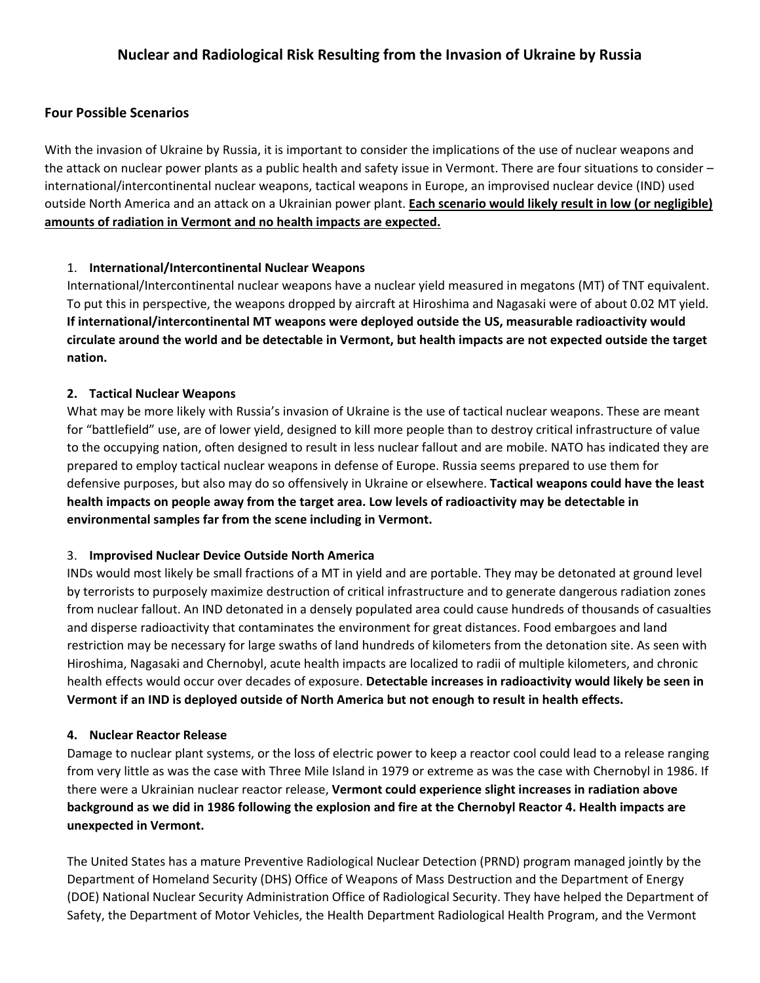# **Four Possible Scenarios**

With the invasion of Ukraine by Russia, it is important to consider the implications of the use of nuclear weapons and the attack on nuclear power plants as a public health and safety issue in Vermont. There are four situations to consider – international/intercontinental nuclear weapons, tactical weapons in Europe, an improvised nuclear device (IND) used outside North America and an attack on a Ukrainian power plant. **Each scenario would likely result in low (or negligible) amounts of radiation in Vermont and no health impacts are expected.**

### 1. **International/Intercontinental Nuclear Weapons**

International/Intercontinental nuclear weapons have a nuclear yield measured in megatons (MT) of TNT equivalent. To put this in perspective, the weapons dropped by aircraft at Hiroshima and Nagasaki were of about 0.02 MT yield. **If international/intercontinental MT weapons were deployed outside the US, measurable radioactivity would circulate around the world and be detectable in Vermont, but health impacts are not expected outside the target nation.**

#### **2. Tactical Nuclear Weapons**

What may be more likely with Russia's invasion of Ukraine is the use of tactical nuclear weapons. These are meant for "battlefield" use, are of lower yield, designed to kill more people than to destroy critical infrastructure of value to the occupying nation, often designed to result in less nuclear fallout and are mobile. NATO has indicated they are prepared to employ tactical nuclear weapons in defense of Europe. Russia seems prepared to use them for defensive purposes, but also may do so offensively in Ukraine or elsewhere. **Tactical weapons could have the least health impacts on people away from the target area. Low levels of radioactivity may be detectable in environmental samples far from the scene including in Vermont.** 

### 3. **Improvised Nuclear Device Outside North America**

INDs would most likely be small fractions of a MT in yield and are portable. They may be detonated at ground level by terrorists to purposely maximize destruction of critical infrastructure and to generate dangerous radiation zones from nuclear fallout. An IND detonated in a densely populated area could cause hundreds of thousands of casualties and disperse radioactivity that contaminates the environment for great distances. Food embargoes and land restriction may be necessary for large swaths of land hundreds of kilometers from the detonation site. As seen with Hiroshima, Nagasaki and Chernobyl, acute health impacts are localized to radii of multiple kilometers, and chronic health effects would occur over decades of exposure. **Detectable increases in radioactivity would likely be seen in Vermont if an IND is deployed outside of North America but not enough to result in health effects.** 

### **4. Nuclear Reactor Release**

Damage to nuclear plant systems, or the loss of electric power to keep a reactor cool could lead to a release ranging from very little as was the case with Three Mile Island in 1979 or extreme as was the case with Chernobyl in 1986. If there were a Ukrainian nuclear reactor release, **Vermont could experience slight increases in radiation above background as we did in 1986 following the explosion and fire at the Chernobyl Reactor 4. Health impacts are unexpected in Vermont.** 

The United States has a mature Preventive Radiological Nuclear Detection (PRND) program managed jointly by the Department of Homeland Security (DHS) Office of Weapons of Mass Destruction and the Department of Energy (DOE) National Nuclear Security Administration Office of Radiological Security. They have helped the Department of Safety, the Department of Motor Vehicles, the Health Department Radiological Health Program, and the Vermont